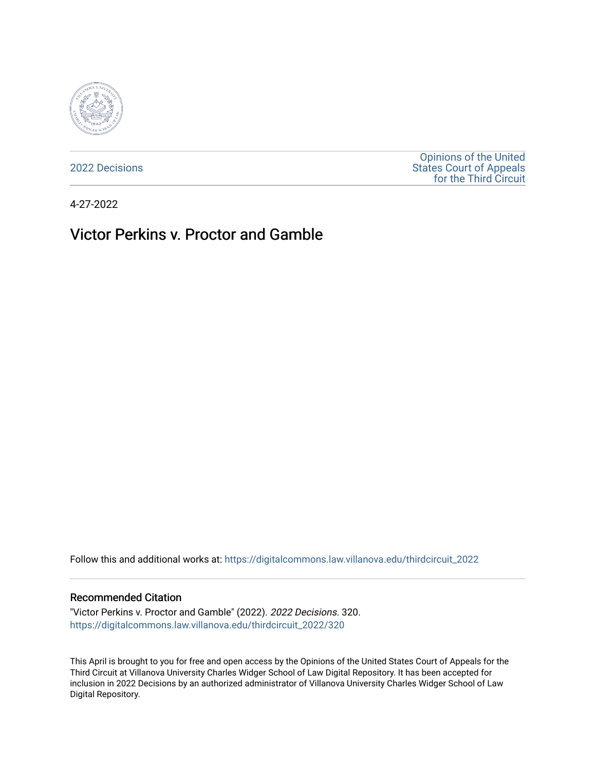

[2022 Decisions](https://digitalcommons.law.villanova.edu/thirdcircuit_2022)

[Opinions of the United](https://digitalcommons.law.villanova.edu/thirdcircuit)  [States Court of Appeals](https://digitalcommons.law.villanova.edu/thirdcircuit)  [for the Third Circuit](https://digitalcommons.law.villanova.edu/thirdcircuit) 

4-27-2022

# Victor Perkins v. Proctor and Gamble

Follow this and additional works at: [https://digitalcommons.law.villanova.edu/thirdcircuit\\_2022](https://digitalcommons.law.villanova.edu/thirdcircuit_2022?utm_source=digitalcommons.law.villanova.edu%2Fthirdcircuit_2022%2F320&utm_medium=PDF&utm_campaign=PDFCoverPages) 

#### Recommended Citation

"Victor Perkins v. Proctor and Gamble" (2022). 2022 Decisions. 320. [https://digitalcommons.law.villanova.edu/thirdcircuit\\_2022/320](https://digitalcommons.law.villanova.edu/thirdcircuit_2022/320?utm_source=digitalcommons.law.villanova.edu%2Fthirdcircuit_2022%2F320&utm_medium=PDF&utm_campaign=PDFCoverPages)

This April is brought to you for free and open access by the Opinions of the United States Court of Appeals for the Third Circuit at Villanova University Charles Widger School of Law Digital Repository. It has been accepted for inclusion in 2022 Decisions by an authorized administrator of Villanova University Charles Widger School of Law Digital Repository.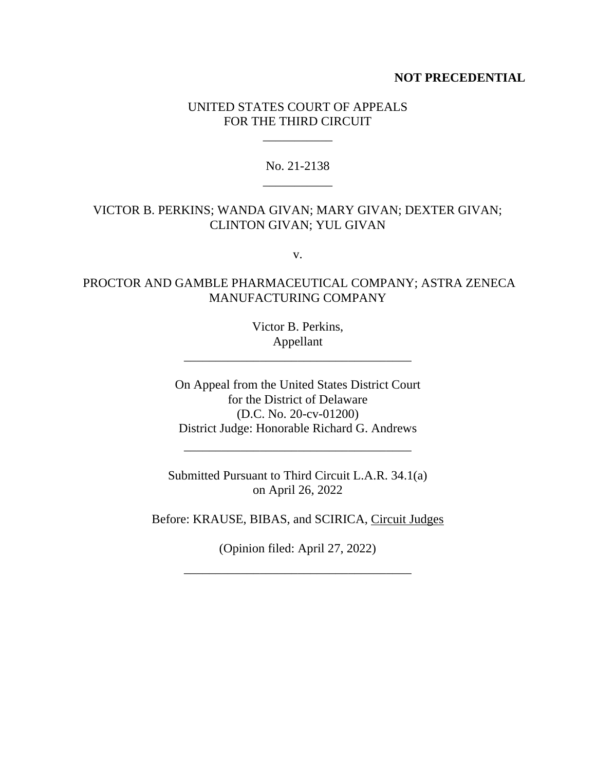#### **NOT PRECEDENTIAL**

#### UNITED STATES COURT OF APPEALS FOR THE THIRD CIRCUIT

\_\_\_\_\_\_\_\_\_\_\_

### No. 21-2138 \_\_\_\_\_\_\_\_\_\_\_

## VICTOR B. PERKINS; WANDA GIVAN; MARY GIVAN; DEXTER GIVAN; CLINTON GIVAN; YUL GIVAN

v.

#### PROCTOR AND GAMBLE PHARMACEUTICAL COMPANY; ASTRA ZENECA MANUFACTURING COMPANY

Victor B. Perkins, Appellant

\_\_\_\_\_\_\_\_\_\_\_\_\_\_\_\_\_\_\_\_\_\_\_\_\_\_\_\_\_\_\_\_\_\_\_\_

On Appeal from the United States District Court for the District of Delaware (D.C. No. 20-cv-01200) District Judge: Honorable Richard G. Andrews

Submitted Pursuant to Third Circuit L.A.R. 34.1(a) on April 26, 2022

\_\_\_\_\_\_\_\_\_\_\_\_\_\_\_\_\_\_\_\_\_\_\_\_\_\_\_\_\_\_\_\_\_\_\_\_

Before: KRAUSE, BIBAS, and SCIRICA, Circuit Judges

(Opinion filed: April 27, 2022)

\_\_\_\_\_\_\_\_\_\_\_\_\_\_\_\_\_\_\_\_\_\_\_\_\_\_\_\_\_\_\_\_\_\_\_\_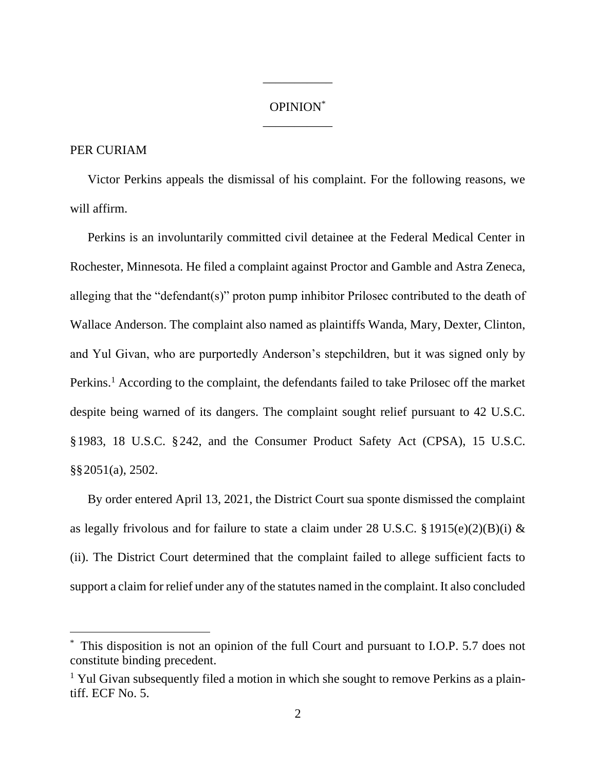#### OPINION\* \_\_\_\_\_\_\_\_\_\_\_

\_\_\_\_\_\_\_\_\_\_\_

## PER CURIAM

Victor Perkins appeals the dismissal of his complaint. For the following reasons, we will affirm.

Perkins is an involuntarily committed civil detainee at the Federal Medical Center in Rochester, Minnesota. He filed a complaint against Proctor and Gamble and Astra Zeneca, alleging that the "defendant(s)" proton pump inhibitor Prilosec contributed to the death of Wallace Anderson. The complaint also named as plaintiffs Wanda, Mary, Dexter, Clinton, and Yul Givan, who are purportedly Anderson's stepchildren, but it was signed only by Perkins.<sup>1</sup> According to the complaint, the defendants failed to take Prilosec off the market despite being warned of its dangers. The complaint sought relief pursuant to 42 U.S.C. §1983, 18 U.S.C. §242, and the Consumer Product Safety Act (CPSA), 15 U.S.C. §§2051(a), 2502.

By order entered April 13, 2021, the District Court sua sponte dismissed the complaint as legally frivolous and for failure to state a claim under 28 U.S.C. § 1915(e)(2)(B)(i) & (ii). The District Court determined that the complaint failed to allege sufficient facts to support a claim for relief under any of the statutes named in the complaint. It also concluded

This disposition is not an opinion of the full Court and pursuant to I.O.P. 5.7 does not constitute binding precedent.

<sup>&</sup>lt;sup>1</sup> Yul Givan subsequently filed a motion in which she sought to remove Perkins as a plaintiff. ECF No. 5.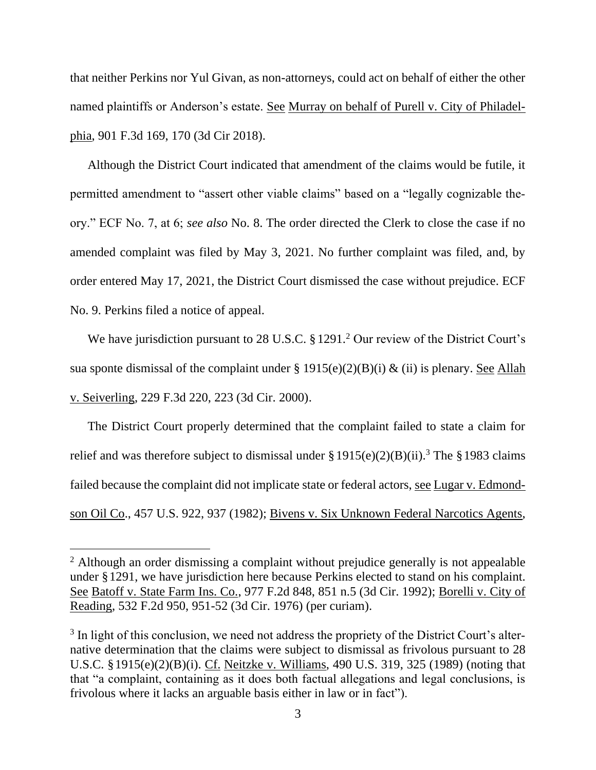that neither Perkins nor Yul Givan, as non-attorneys, could act on behalf of either the other named plaintiffs or Anderson's estate. See Murray on behalf of Purell v. City of Philadelphia, 901 F.3d 169, 170 (3d Cir 2018).

Although the District Court indicated that amendment of the claims would be futile, it permitted amendment to "assert other viable claims" based on a "legally cognizable theory." ECF No. 7, at 6; *see also* No. 8. The order directed the Clerk to close the case if no amended complaint was filed by May 3, 2021. No further complaint was filed, and, by order entered May 17, 2021, the District Court dismissed the case without prejudice. ECF No. 9. Perkins filed a notice of appeal.

We have jurisdiction pursuant to 28 U.S.C. § 1291.<sup>2</sup> Our review of the District Court's sua sponte dismissal of the complaint under § 1915(e)(2)(B)(i) & (ii) is plenary. <u>See Allah</u> v. Seiverling, 229 F.3d 220, 223 (3d Cir. 2000).

The District Court properly determined that the complaint failed to state a claim for relief and was therefore subject to dismissal under  $\S 1915(e)(2)(B)(ii)$ .<sup>3</sup> The  $\S 1983$  claims failed because the complaint did not implicate state or federal actors, see Lugar v. Edmondson Oil Co., 457 U.S. 922, 937 (1982); Bivens v. Six Unknown Federal Narcotics Agents,

<sup>&</sup>lt;sup>2</sup> Although an order dismissing a complaint without prejudice generally is not appealable under §1291, we have jurisdiction here because Perkins elected to stand on his complaint. See Batoff v. State Farm Ins. Co., 977 F.2d 848, 851 n.5 (3d Cir. 1992); Borelli v. City of Reading, 532 F.2d 950, 951-52 (3d Cir. 1976) (per curiam).

 $3$  In light of this conclusion, we need not address the propriety of the District Court's alternative determination that the claims were subject to dismissal as frivolous pursuant to 28 U.S.C. §1915(e)(2)(B)(i). Cf. Neitzke v. Williams, 490 U.S. 319, 325 (1989) (noting that that "a complaint, containing as it does both factual allegations and legal conclusions, is frivolous where it lacks an arguable basis either in law or in fact").